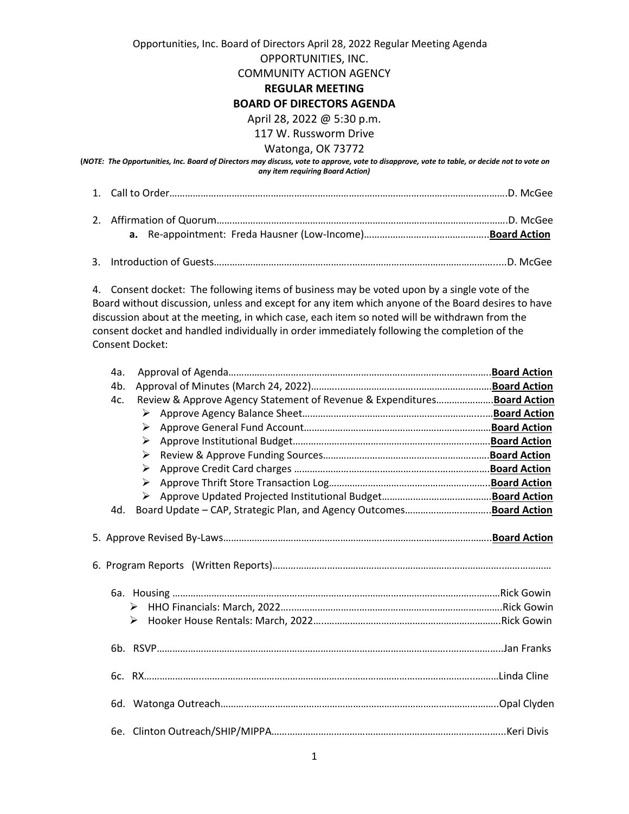# Opportunities, Inc. Board of Directors April 28, 2022 Regular Meeting Agenda OPPORTUNITIES, INC. COMMUNITY ACTION AGENCY

## **REGULAR MEETING**

## **BOARD OF DIRECTORS AGENDA**

April 28, 2022 @ 5:30 p.m.

## 117 W. Russworm Drive

#### Watonga, OK 73772

**(***NOTE: The Opportunities, Inc. Board of Directors may discuss, vote to approve, vote to disapprove, vote to table, or decide not to vote on any item requiring Board Action)*

1. Call to Order………………………………………………………………………………………………………………….D. McGee

3. Introduction of Guests……………………………………………..……………………………………………….....D. McGee

4. Consent docket: The following items of business may be voted upon by a single vote of the Board without discussion, unless and except for any item which anyone of the Board desires to have discussion about at the meeting, in which case, each item so noted will be withdrawn from the consent docket and handled individually in order immediately following the completion of the Consent Docket:

| 4a. |   |                                                                          |  |
|-----|---|--------------------------------------------------------------------------|--|
| 4b. |   |                                                                          |  |
| 4c. |   | Review & Approve Agency Statement of Revenue & Expenditures Board Action |  |
|     | ➤ |                                                                          |  |
|     | ≻ |                                                                          |  |
|     | ➤ |                                                                          |  |
|     | ≻ |                                                                          |  |
|     | ➤ |                                                                          |  |
|     | ➤ |                                                                          |  |
|     | ➤ |                                                                          |  |
| 4d. |   |                                                                          |  |
|     |   |                                                                          |  |
|     |   |                                                                          |  |
|     |   |                                                                          |  |
|     | ➤ |                                                                          |  |
|     | ➤ |                                                                          |  |
|     |   |                                                                          |  |
|     |   |                                                                          |  |
|     |   |                                                                          |  |
|     |   |                                                                          |  |